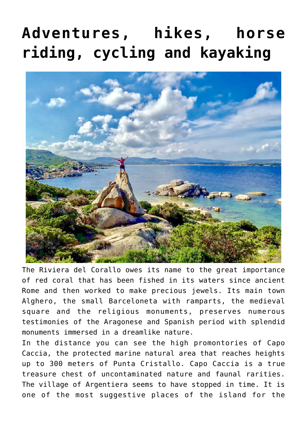# **[Adventures, hikes, horse](https://www.visitsardinia.vip/hiking-and-off-road/) [riding, cycling and kayaking](https://www.visitsardinia.vip/hiking-and-off-road/)**



The Riviera del Corallo owes its name to the great importance of red coral that has been fished in its waters since ancient Rome and then worked to make precious jewels. Its main town Alghero, the small Barceloneta with ramparts, the medieval square and the religious monuments, preserves numerous testimonies of the Aragonese and Spanish period with splendid monuments immersed in a dreamlike nature.

In the distance you can see the high promontories of Capo Caccia, the protected marine natural area that reaches heights up to 300 meters of Punta Cristallo. Capo Caccia is a true treasure chest of uncontaminated nature and faunal rarities. The village of Argentiera seems to have stopped in time. It is one of the most suggestive places of the island for the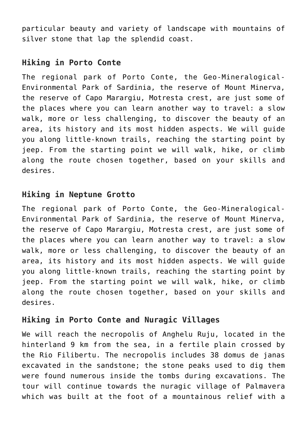particular beauty and variety of landscape with mountains of silver stone that lap the splendid coast.

### **Hiking in Porto Conte**

The regional park of Porto Conte, the Geo-Mineralogical-Environmental Park of Sardinia, the reserve of Mount Minerva, the reserve of Capo Marargiu, Motresta crest, are just some of the places where you can learn another way to travel: a slow walk, more or less challenging, to discover the beauty of an area, its history and its most hidden aspects. We will guide you along little-known trails, reaching the starting point by jeep. From the starting point we will walk, hike, or climb along the route chosen together, based on your skills and desires.

#### **Hiking in Neptune Grotto**

The regional park of Porto Conte, the Geo-Mineralogical-Environmental Park of Sardinia, the reserve of Mount Minerva, the reserve of Capo Marargiu, Motresta crest, are just some of the places where you can learn another way to travel: a slow walk, more or less challenging, to discover the beauty of an area, its history and its most hidden aspects. We will guide you along little-known trails, reaching the starting point by jeep. From the starting point we will walk, hike, or climb along the route chosen together, based on your skills and desires.

#### **Hiking in Porto Conte and Nuragic Villages**

We will reach the necropolis of Anghelu Ruju, located in the hinterland 9 km from the sea, in a fertile plain crossed by the Rio Filibertu. The necropolis includes 38 domus de janas excavated in the sandstone; the stone peaks used to dig them were found numerous inside the tombs during excavations. The tour will continue towards the nuragic village of Palmavera which was built at the foot of a mountainous relief with a